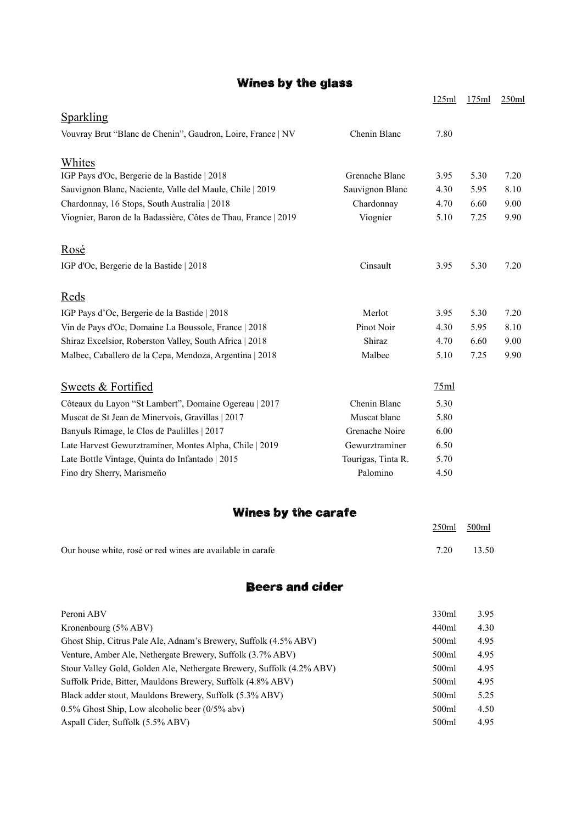## Wines by the glass

|                                                                       |                    | 125ml | 175ml | 250ml |
|-----------------------------------------------------------------------|--------------------|-------|-------|-------|
| <b>Sparkling</b>                                                      |                    |       |       |       |
| Vouvray Brut "Blanc de Chenin", Gaudron, Loire, France   NV           | Chenin Blanc       | 7.80  |       |       |
| Whites                                                                |                    |       |       |       |
| IGP Pays d'Oc, Bergerie de la Bastide   2018                          | Grenache Blanc     | 3.95  | 5.30  | 7.20  |
| Sauvignon Blanc, Naciente, Valle del Maule, Chile   2019              | Sauvignon Blanc    | 4.30  | 5.95  | 8.10  |
| Chardonnay, 16 Stops, South Australia   2018                          | Chardonnay         | 4.70  | 6.60  | 9.00  |
| Viognier, Baron de la Badassière, Côtes de Thau, France   2019        | Viognier           | 5.10  | 7.25  | 9.90  |
| Rosé                                                                  |                    |       |       |       |
| IGP d'Oc, Bergerie de la Bastide   2018                               | Cinsault           | 3.95  | 5.30  | 7.20  |
| <u>Reds</u>                                                           |                    |       |       |       |
| IGP Pays d'Oc, Bergerie de la Bastide   2018                          | Merlot             | 3.95  | 5.30  | 7.20  |
| Vin de Pays d'Oc, Domaine La Boussole, France   2018                  | Pinot Noir         | 4.30  | 5.95  | 8.10  |
| Shiraz Excelsior, Roberston Valley, South Africa   2018               | Shiraz             | 4.70  | 6.60  | 9.00  |
| Malbec, Caballero de la Cepa, Mendoza, Argentina   2018               | Malbec             | 5.10  | 7.25  | 9.90  |
| Sweets & Fortified                                                    |                    | 75ml  |       |       |
| Côteaux du Layon "St Lambert", Domaine Ogereau   2017                 | Chenin Blanc       | 5.30  |       |       |
| Muscat de St Jean de Minervois, Gravillas   2017                      | Muscat blanc       | 5.80  |       |       |
| Banyuls Rimage, le Clos de Paulilles   2017                           | Grenache Noire     | 6.00  |       |       |
| Late Harvest Gewurztraminer, Montes Alpha, Chile   2019               | Gewurztraminer     | 6.50  |       |       |
| Late Bottle Vintage, Quinta do Infantado   2015                       | Tourigas, Tinta R. | 5.70  |       |       |
| Fino dry Sherry, Marismeño                                            | Palomino           | 4.50  |       |       |
| Wines by the carafe                                                   |                    |       |       |       |
|                                                                       |                    | 250ml | 500ml |       |
| Our house white, rosé or red wines are available in carafe            |                    | 7.20  | 13.50 |       |
| <b>Beers and cider</b>                                                |                    |       |       |       |
| Peroni ABV                                                            |                    | 330ml | 3.95  |       |
| Kronenbourg (5% ABV)                                                  |                    | 440ml | 4.30  |       |
| Ghost Ship, Citrus Pale Ale, Adnam's Brewery, Suffolk (4.5% ABV)      |                    | 500ml | 4.95  |       |
| Venture, Amber Ale, Nethergate Brewery, Suffolk (3.7% ABV)            |                    | 500ml | 4.95  |       |
| Stour Valley Gold, Golden Ale, Nethergate Brewery, Suffolk (4.2% ABV) |                    | 500ml | 4.95  |       |
| Suffolk Pride, Bitter, Mauldons Brewery, Suffolk (4.8% ABV)           |                    | 500ml | 4.95  |       |

Black adder stout, Mauldons Brewery, Suffolk (5.3% ABV) 500ml 5.25 0.5% Ghost Ship, Low alcoholic beer (0/5% abv) 500ml 4.50 Aspall Cider, Suffolk (5.5% ABV) 500ml 4.95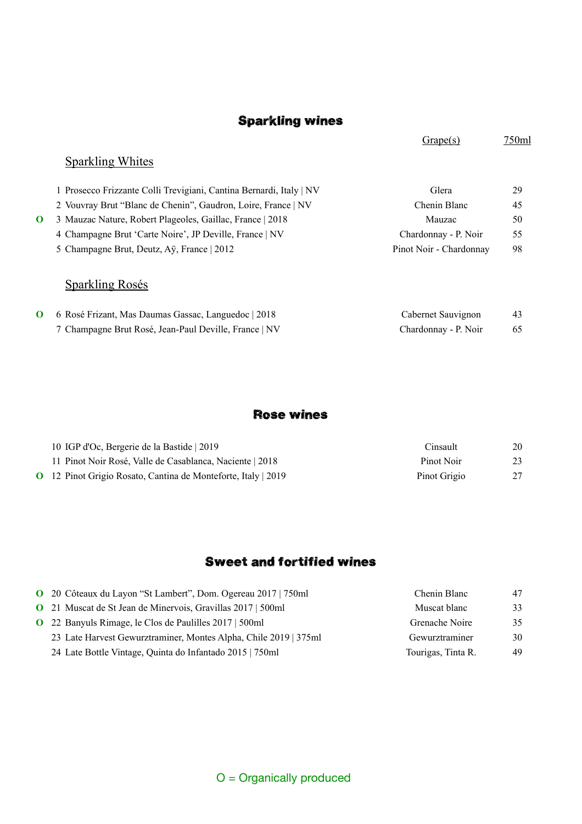### Sparkling wines

Grape(s) 750ml Sparkling Whites 1 Prosecco Frizzante Colli Trevigiani, Cantina Bernardi, Italy | NV Glera Glera 29 2 Vouvray Brut "Blanc de Chenin", Gaudron, Loire, France | NV Chenin Blanc 45 **O** 3 Mauzac Nature, Robert Plageoles, Gaillac, France | 2018 Mauzac Mauzac 50 4 Champagne Brut 'Carte Noire', JP Deville, France | NV Chardonnay - P. Noir 55 5 Champagne Brut, Deutz, Aÿ, France | 2012 Pinot Noir - Chardonnay 98 Sparkling Rosés **O** 6 Rosé Frizant, Mas Daumas Gassac, Languedoc | 2018 Cabernet Sauvignon 43 7 Champagne Brut Rosé, Jean-Paul Deville, France | NV Chardonnay - P. Noir 65

#### Rose wines

| 10 IGP d'Oc, Bergerie de la Bastide   2019                           | Cinsault     | 20 |
|----------------------------------------------------------------------|--------------|----|
| 11 Pinot Noir Rosé, Valle de Casablanca, Naciente   2018             | Pinot Noir   |    |
| <b>O</b> 12 Pinot Grigio Rosato, Cantina de Monteforte, Italy   2019 | Pinot Grigio | 27 |

#### Sweet and fortified wines

| O 20 Côteaux du Layon "St Lambert", Dom. Ogereau 2017   750ml      | Chenin Blanc       | 47 |
|--------------------------------------------------------------------|--------------------|----|
| <b>O</b> 21 Muscat de St Jean de Minervois, Gravillas 2017   500ml | Muscat blanc       | 33 |
| <b>O</b> 22 Banyuls Rimage, le Clos de Paulilles 2017   500ml      | Grenache Noire     | 35 |
| 23 Late Harvest Gewurztraminer, Montes Alpha, Chile 2019   375ml   | Gewurztraminer     | 30 |
| 24 Late Bottle Vintage, Quinta do Infantado 2015   750ml           | Tourigas, Tinta R. | 49 |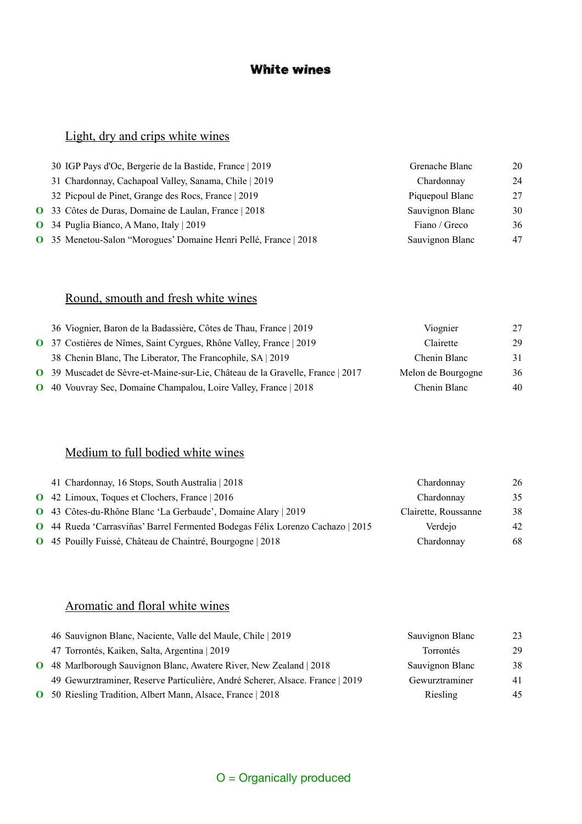### White wines

# Light, dry and crips white wines

| 30 IGP Pays d'Oc, Bergerie de la Bastide, France   2019          | Grenache Blanc  | 20 |
|------------------------------------------------------------------|-----------------|----|
| 31 Chardonnay, Cachapoal Valley, Sanama, Chile   2019            | Chardonnay      | 24 |
| 32 Picpoul de Pinet, Grange des Rocs, France   2019              | Piquepoul Blanc | 27 |
| O 33 Côtes de Duras, Domaine de Laulan, France   2018            | Sauvignon Blanc | 30 |
| <b>O</b> 34 Puglia Bianco, A Mano, Italy   2019                  | Fiano / Greco   | 36 |
| O 35 Menetou-Salon "Morogues' Domaine Henri Pellé, France   2018 | Sauvignon Blanc | 47 |
|                                                                  |                 |    |

### Round, smouth and fresh white wines

| 36 Viognier, Baron de la Badassière, Côtes de Thau, France   2019              | Viognier           | 27 |
|--------------------------------------------------------------------------------|--------------------|----|
| O 37 Costières de Nîmes, Saint Cyrgues, Rhône Valley, France   2019            | Clairette          | 29 |
| 38 Chenin Blanc, The Liberator, The Francophile, SA 2019                       | Chenin Blanc       | 31 |
| O 39 Muscadet de Sèvre-et-Maine-sur-Lie, Château de la Gravelle, France   2017 | Melon de Bourgogne | 36 |
| <b>O</b> 40 Vouvray Sec, Domaine Champalou, Loire Valley, France   2018        | Chenin Blanc       | 40 |

### Medium to full bodied white wines

| 41 Chardonnay, 16 Stops, South Australia   2018                                       | Chardonnay           | 26 |
|---------------------------------------------------------------------------------------|----------------------|----|
| <b>Q</b> 42 Limoux, Toques et Clochers, France 2016                                   | Chardonnay           | 35 |
| O 43 Côtes-du-Rhône Blanc 'La Gerbaude', Domaine Alary   2019                         | Clairette, Roussanne | 38 |
| <b>O</b> 44 Rueda 'Carrasviñas' Barrel Fermented Bodegas Félix Lorenzo Cachazo   2015 | Verdeio              | 42 |
| O 45 Pouilly Fuissé, Château de Chaintré, Bourgogne   2018                            | Chardonnay           | 68 |

### Aromatic and floral white wines

|          | 46 Sauvignon Blanc, Naciente, Valle del Maule, Chile   2019                   | Sauvignon Blanc  | 23 |
|----------|-------------------------------------------------------------------------------|------------------|----|
|          | 47 Torrontés, Kaiken, Salta, Argentina   2019                                 | <b>Torrontés</b> | 29 |
| $\Omega$ | 48 Marlborough Sauvignon Blanc, Awatere River, New Zealand   2018             | Sauvignon Blanc  | 38 |
|          | 49 Gewurztraminer, Reserve Particulière, André Scherer, Alsace. France   2019 | Gewurztraminer   | 41 |
|          | <b>O</b> 50 Riesling Tradition, Albert Mann, Alsace, France   2018            | Riesling         | 45 |